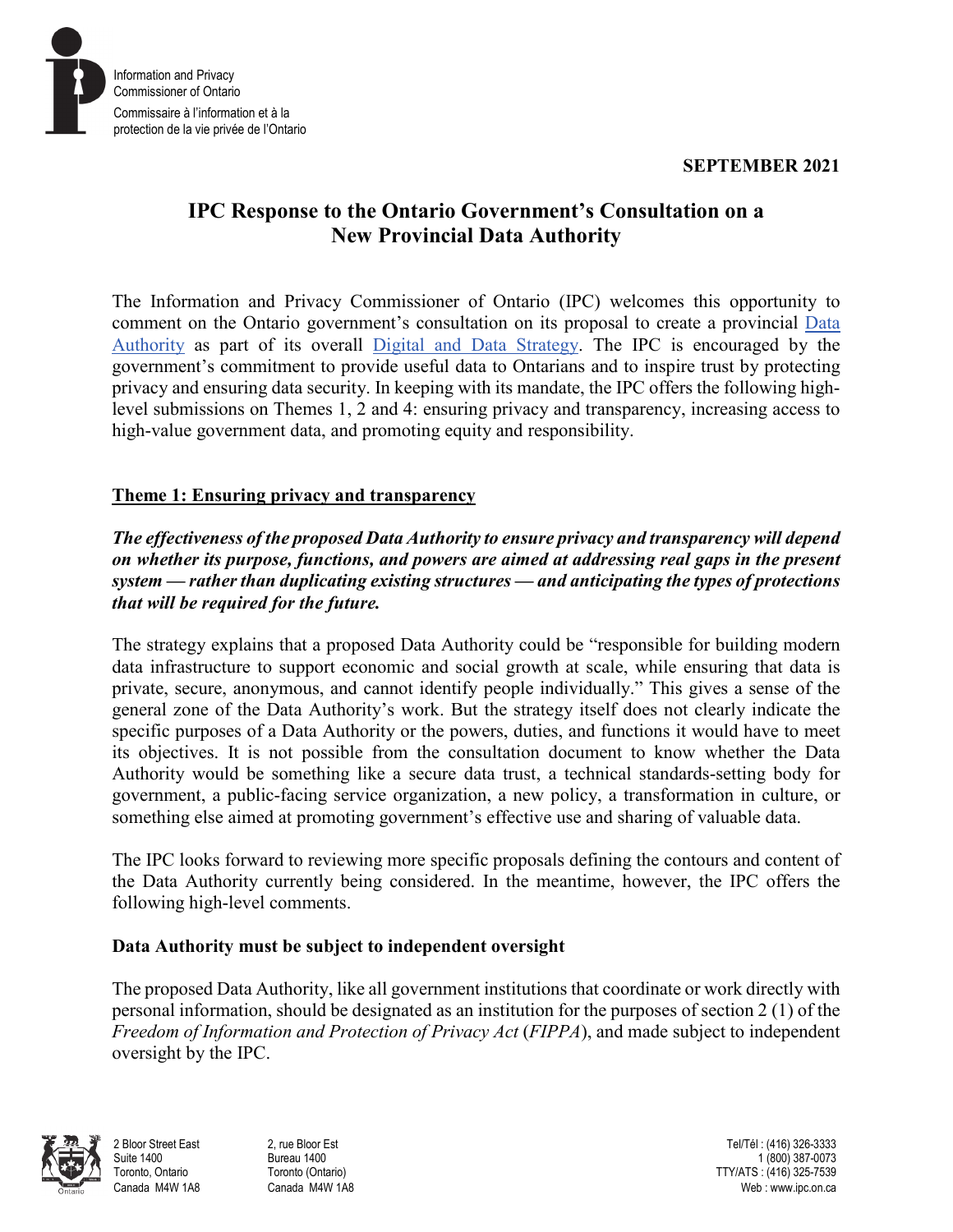**SEPTEMBER 2021**



# **IPC Response to the Ontario Government's Consultation on a New Provincial Data Authority**

The Information and Privacy Commissioner of Ontario (IPC) welcomes this opportunity to comment on the Ontario government's consultation on its proposal to create a provincial [Data](https://www.ontario.ca/page/consultation-ontarios-data-authority)  [Authority](https://www.ontario.ca/page/consultation-ontarios-data-authority) as part of its overall [Digital and Data Strategy.](https://www.ontario.ca/page/building-digital-ontario) The IPC is encouraged by the government's commitment to provide useful data to Ontarians and to inspire trust by protecting privacy and ensuring data security. In keeping with its mandate, the IPC offers the following highlevel submissions on Themes 1, 2 and 4: ensuring privacy and transparency, increasing access to high-value government data, and promoting equity and responsibility.

# **Theme 1: Ensuring privacy and transparency**

*The effectiveness of the proposed Data Authority to ensure privacy and transparency will depend on whether its purpose, functions, and powers are aimed at addressing real gaps in the present system — rather than duplicating existing structures — and anticipating the types of protections that will be required for the future.*

The strategy explains that a proposed Data Authority could be "responsible for building modern data infrastructure to support economic and social growth at scale, while ensuring that data is private, secure, anonymous, and cannot identify people individually." This gives a sense of the general zone of the Data Authority's work. But the strategy itself does not clearly indicate the specific purposes of a Data Authority or the powers, duties, and functions it would have to meet its objectives. It is not possible from the consultation document to know whether the Data Authority would be something like a secure data trust, a technical standards-setting body for government, a public-facing service organization, a new policy, a transformation in culture, or something else aimed at promoting government's effective use and sharing of valuable data.

The IPC looks forward to reviewing more specific proposals defining the contours and content of the Data Authority currently being considered. In the meantime, however, the IPC offers the following high-level comments.

# **Data Authority must be subject to independent oversight**

The proposed Data Authority, like all government institutions that coordinate or work directly with personal information, should be designated as an institution for the purposes of section 2 (1) of the *Freedom of Information and Protection of Privacy Act* (*FIPPA*), and made subject to independent oversight by the IPC.

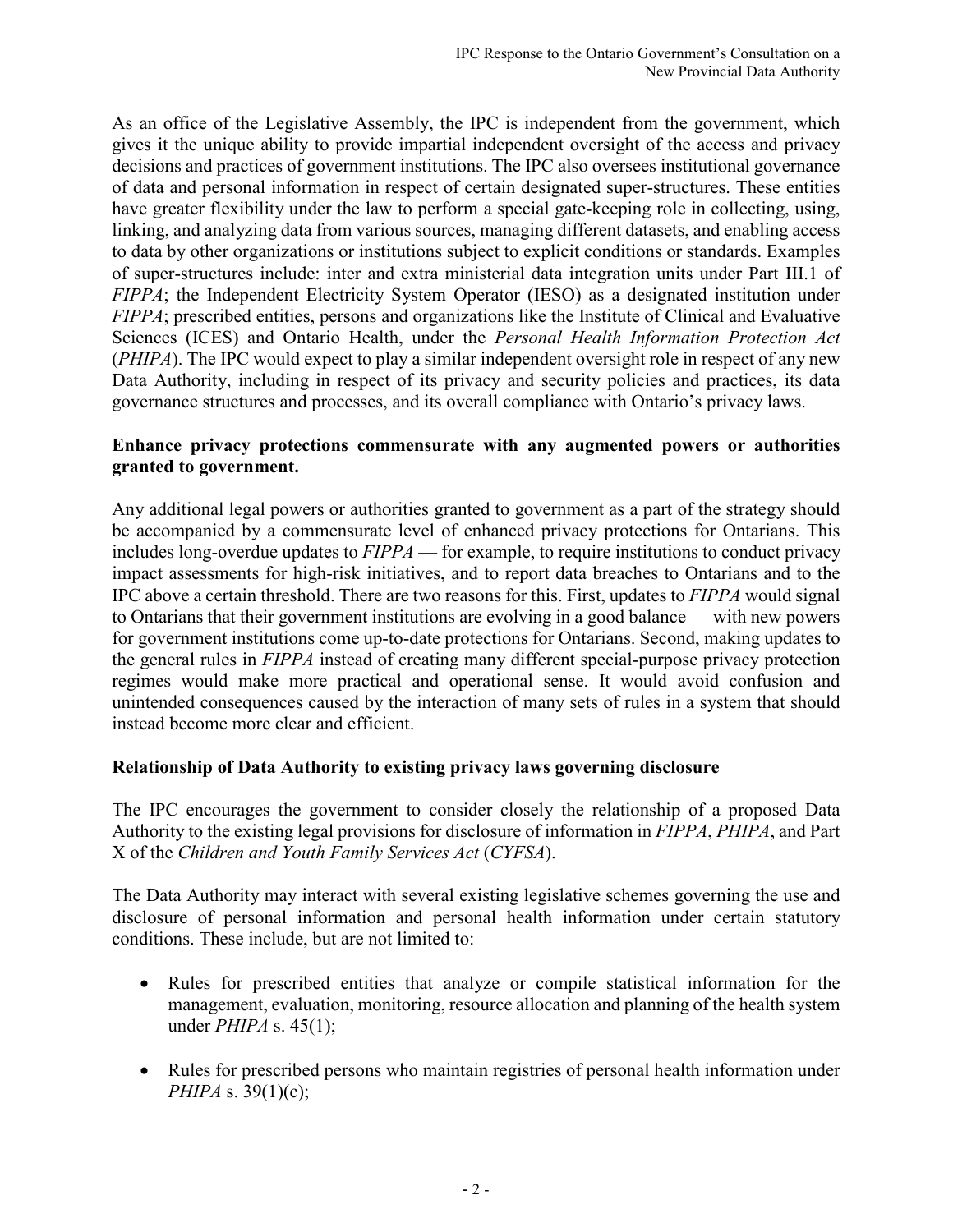As an office of the Legislative Assembly, the IPC is independent from the government, which gives it the unique ability to provide impartial independent oversight of the access and privacy decisions and practices of government institutions. The IPC also oversees institutional governance of data and personal information in respect of certain designated super-structures. These entities have greater flexibility under the law to perform a special gate-keeping role in collecting, using, linking, and analyzing data from various sources, managing different datasets, and enabling access to data by other organizations or institutions subject to explicit conditions or standards. Examples of super-structures include: inter and extra ministerial data integration units under Part III.1 of *FIPPA*; the Independent Electricity System Operator (IESO) as a designated institution under *FIPPA*; prescribed entities, persons and organizations like the Institute of Clinical and Evaluative Sciences (ICES) and Ontario Health, under the *Personal Health Information Protection Act*  (*PHIPA*). The IPC would expect to play a similar independent oversight role in respect of any new Data Authority, including in respect of its privacy and security policies and practices, its data governance structures and processes, and its overall compliance with Ontario's privacy laws.

## **Enhance privacy protections commensurate with any augmented powers or authorities granted to government.**

Any additional legal powers or authorities granted to government as a part of the strategy should be accompanied by a commensurate level of enhanced privacy protections for Ontarians. This includes long-overdue updates to *FIPPA* — for example, to require institutions to conduct privacy impact assessments for high-risk initiatives, and to report data breaches to Ontarians and to the IPC above a certain threshold. There are two reasons for this. First, updates to *FIPPA* would signal to Ontarians that their government institutions are evolving in a good balance — with new powers for government institutions come up-to-date protections for Ontarians. Second, making updates to the general rules in *FIPPA* instead of creating many different special-purpose privacy protection regimes would make more practical and operational sense. It would avoid confusion and unintended consequences caused by the interaction of many sets of rules in a system that should instead become more clear and efficient.

# **Relationship of Data Authority to existing privacy laws governing disclosure**

The IPC encourages the government to consider closely the relationship of a proposed Data Authority to the existing legal provisions for disclosure of information in *FIPPA*, *PHIPA*, and Part X of the *Children and Youth Family Services Act* (*CYFSA*).

The Data Authority may interact with several existing legislative schemes governing the use and disclosure of personal information and personal health information under certain statutory conditions. These include, but are not limited to:

- Rules for prescribed entities that analyze or compile statistical information for the management, evaluation, monitoring, resource allocation and planning of the health system under *PHIPA* s. 45(1);
- Rules for prescribed persons who maintain registries of personal health information under *PHIPA* s. 39(1)(c);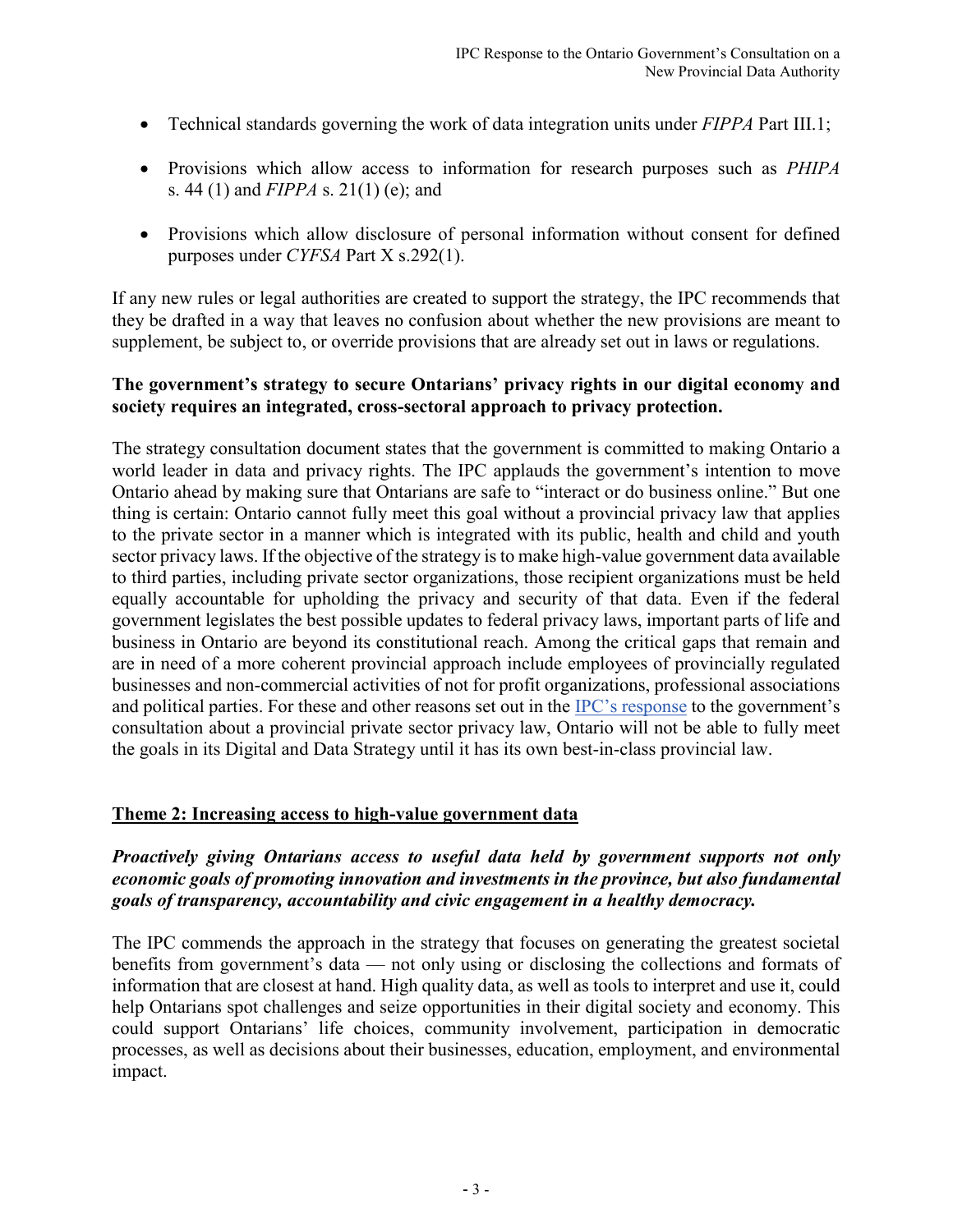- Technical standards governing the work of data integration units under *FIPPA* Part III.1;
- Provisions which allow access to information for research purposes such as *PHIPA* s. 44 (1) and *FIPPA* s. 21(1) (e); and
- Provisions which allow disclosure of personal information without consent for defined purposes under *CYFSA* Part X s.292(1).

If any new rules or legal authorities are created to support the strategy, the IPC recommends that they be drafted in a way that leaves no confusion about whether the new provisions are meant to supplement, be subject to, or override provisions that are already set out in laws or regulations.

#### **The government's strategy to secure Ontarians' privacy rights in our digital economy and society requires an integrated, cross-sectoral approach to privacy protection.**

The strategy consultation document states that the government is committed to making Ontario a world leader in data and privacy rights. The IPC applauds the government's intention to move Ontario ahead by making sure that Ontarians are safe to "interact or do business online." But one thing is certain: Ontario cannot fully meet this goal without a provincial privacy law that applies to the private sector in a manner which is integrated with its public, health and child and youth sector privacy laws. If the objective of the strategy is to make high-value government data available to third parties, including private sector organizations, those recipient organizations must be held equally accountable for upholding the privacy and security of that data. Even if the federal government legislates the best possible updates to federal privacy laws, important parts of life and business in Ontario are beyond its constitutional reach. Among the critical gaps that remain and are in need of a more coherent provincial approach include employees of provincially regulated businesses and non-commercial activities of not for profit organizations, professional associations and political parties. For these and other reasons set out in the [IPC's response](https://www.ipc.on.ca/wp-content/uploads/2021/09/2021-09-03-ipc-comments-on-gov-white-paper_modernizing-privacy-in-ontario.pdf) to the government's consultation about a provincial private sector privacy law, Ontario will not be able to fully meet the goals in its Digital and Data Strategy until it has its own best-in-class provincial law.

#### **Theme 2: Increasing access to high-value government data**

## *Proactively giving Ontarians access to useful data held by government supports not only economic goals of promoting innovation and investments in the province, but also fundamental goals of transparency, accountability and civic engagement in a healthy democracy.*

The IPC commends the approach in the strategy that focuses on generating the greatest societal benefits from government's data — not only using or disclosing the collections and formats of information that are closest at hand. High quality data, as well as tools to interpret and use it, could help Ontarians spot challenges and seize opportunities in their digital society and economy. This could support Ontarians' life choices, community involvement, participation in democratic processes, as well as decisions about their businesses, education, employment, and environmental impact.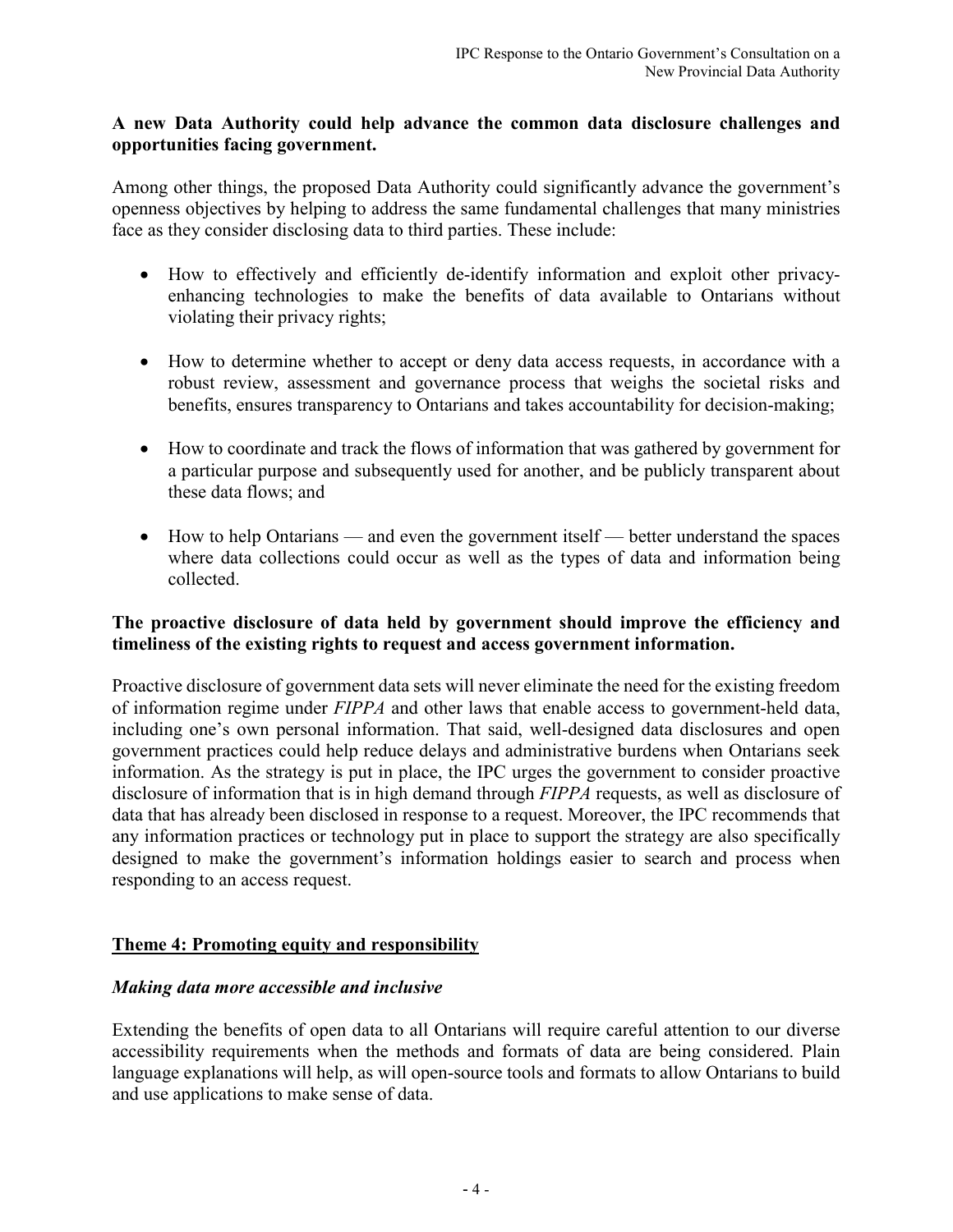#### **A new Data Authority could help advance the common data disclosure challenges and opportunities facing government.**

Among other things, the proposed Data Authority could significantly advance the government's openness objectives by helping to address the same fundamental challenges that many ministries face as they consider disclosing data to third parties. These include:

- How to effectively and efficiently de-identify information and exploit other privacyenhancing technologies to make the benefits of data available to Ontarians without violating their privacy rights;
- How to determine whether to accept or deny data access requests, in accordance with a robust review, assessment and governance process that weighs the societal risks and benefits, ensures transparency to Ontarians and takes accountability for decision-making;
- How to coordinate and track the flows of information that was gathered by government for a particular purpose and subsequently used for another, and be publicly transparent about these data flows; and
- How to help Ontarians and even the government itself better understand the spaces where data collections could occur as well as the types of data and information being collected.

## **The proactive disclosure of data held by government should improve the efficiency and timeliness of the existing rights to request and access government information.**

Proactive disclosure of government data sets will never eliminate the need for the existing freedom of information regime under *FIPPA* and other laws that enable access to government-held data, including one's own personal information. That said, well-designed data disclosures and open government practices could help reduce delays and administrative burdens when Ontarians seek information. As the strategy is put in place, the IPC urges the government to consider proactive disclosure of information that is in high demand through *FIPPA* requests, as well as disclosure of data that has already been disclosed in response to a request. Moreover, the IPC recommends that any information practices or technology put in place to support the strategy are also specifically designed to make the government's information holdings easier to search and process when responding to an access request.

# **Theme 4: Promoting equity and responsibility**

#### *Making data more accessible and inclusive*

Extending the benefits of open data to all Ontarians will require careful attention to our diverse accessibility requirements when the methods and formats of data are being considered. Plain language explanations will help, as will open-source tools and formats to allow Ontarians to build and use applications to make sense of data.